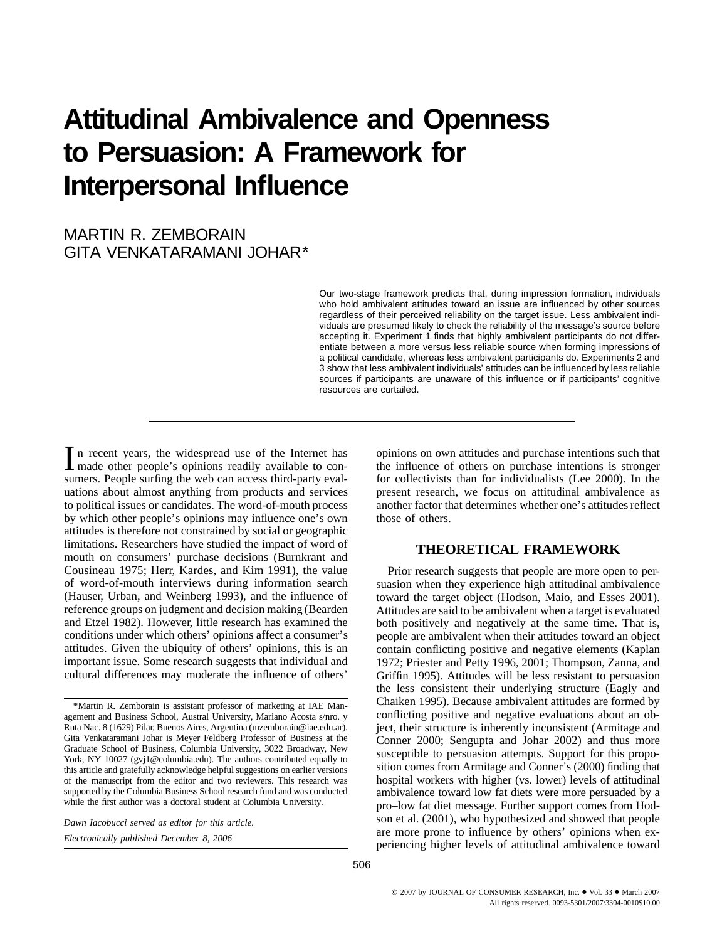# **Attitudinal Ambivalence and Openness to Persuasion: A Framework for Interpersonal Influence**

## MARTIN R. ZEMBORAIN GITA VENKATARAMANI JOHAR\*

Our two-stage framework predicts that, during impression formation, individuals who hold ambivalent attitudes toward an issue are influenced by other sources regardless of their perceived reliability on the target issue. Less ambivalent individuals are presumed likely to check the reliability of the message's source before accepting it. Experiment 1 finds that highly ambivalent participants do not differentiate between a more versus less reliable source when forming impressions of a political candidate, whereas less ambivalent participants do. Experiments 2 and 3 show that less ambivalent individuals' attitudes can be influenced by less reliable sources if participants are unaware of this influence or if participants' cognitive resources are curtailed.

In recent years, the widespread use of the Internet has made other people's opinions readily available to consumers. People surfing the web can access third-party evaluations about almost anything from products and services to political issues or candidates. The word-of-mouth process by which other people's opinions may influence one's own attitudes is therefore not constrained by social or geographic limitations. Researchers have studied the impact of word of mouth on consumers' purchase decisions (Burnkrant and Cousineau 1975; Herr, Kardes, and Kim 1991), the value of word-of-mouth interviews during information search (Hauser, Urban, and Weinberg 1993), and the influence of reference groups on judgment and decision making (Bearden and Etzel 1982). However, little research has examined the conditions under which others' opinions affect a consumer's attitudes. Given the ubiquity of others' opinions, this is an important issue. Some research suggests that individual and cultural differences may moderate the influence of others'

*Dawn Iacobucci served as editor for this article. Electronically published December 8, 2006*

opinions on own attitudes and purchase intentions such that the influence of others on purchase intentions is stronger for collectivists than for individualists (Lee 2000). In the present research, we focus on attitudinal ambivalence as another factor that determines whether one's attitudes reflect those of others.

## **THEORETICAL FRAMEWORK**

Prior research suggests that people are more open to persuasion when they experience high attitudinal ambivalence toward the target object (Hodson, Maio, and Esses 2001). Attitudes are said to be ambivalent when a target is evaluated both positively and negatively at the same time. That is, people are ambivalent when their attitudes toward an object contain conflicting positive and negative elements (Kaplan 1972; Priester and Petty 1996, 2001; Thompson, Zanna, and Griffin 1995). Attitudes will be less resistant to persuasion the less consistent their underlying structure (Eagly and Chaiken 1995). Because ambivalent attitudes are formed by conflicting positive and negative evaluations about an object, their structure is inherently inconsistent (Armitage and Conner 2000; Sengupta and Johar 2002) and thus more susceptible to persuasion attempts. Support for this proposition comes from Armitage and Conner's (2000) finding that hospital workers with higher (vs. lower) levels of attitudinal ambivalence toward low fat diets were more persuaded by a pro–low fat diet message. Further support comes from Hodson et al. (2001), who hypothesized and showed that people are more prone to influence by others' opinions when experiencing higher levels of attitudinal ambivalence toward

<sup>\*</sup>Martin R. Zemborain is assistant professor of marketing at IAE Management and Business School, Austral University, Mariano Acosta s/nro. y Ruta Nac. 8 (1629) Pilar, Buenos Aires, Argentina (mzemborain@iae.edu.ar). Gita Venkataramani Johar is Meyer Feldberg Professor of Business at the Graduate School of Business, Columbia University, 3022 Broadway, New York, NY 10027 (gvj1@columbia.edu). The authors contributed equally to this article and gratefully acknowledge helpful suggestions on earlier versions of the manuscript from the editor and two reviewers. This research was supported by the Columbia Business School research fund and was conducted while the first author was a doctoral student at Columbia University.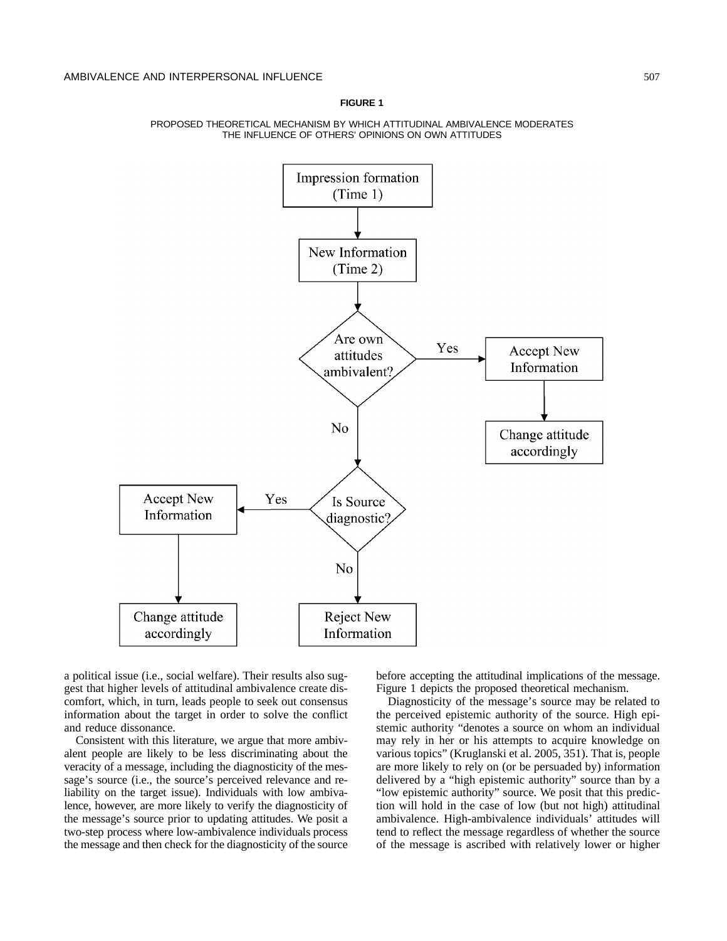**FIGURE 1**

PROPOSED THEORETICAL MECHANISM BY WHICH ATTITUDINAL AMBIVALENCE MODERATES THE INFLUENCE OF OTHERS' OPINIONS ON OWN ATTITUDES



a political issue (i.e., social welfare). Their results also suggest that higher levels of attitudinal ambivalence create discomfort, which, in turn, leads people to seek out consensus information about the target in order to solve the conflict and reduce dissonance.

Consistent with this literature, we argue that more ambivalent people are likely to be less discriminating about the veracity of a message, including the diagnosticity of the message's source (i.e., the source's perceived relevance and reliability on the target issue). Individuals with low ambivalence, however, are more likely to verify the diagnosticity of the message's source prior to updating attitudes. We posit a two-step process where low-ambivalence individuals process the message and then check for the diagnosticity of the source before accepting the attitudinal implications of the message. Figure 1 depicts the proposed theoretical mechanism.

Diagnosticity of the message's source may be related to the perceived epistemic authority of the source. High epistemic authority "denotes a source on whom an individual may rely in her or his attempts to acquire knowledge on various topics" (Kruglanski et al. 2005, 351). That is, people are more likely to rely on (or be persuaded by) information delivered by a "high epistemic authority" source than by a "low epistemic authority" source. We posit that this prediction will hold in the case of low (but not high) attitudinal ambivalence. High-ambivalence individuals' attitudes will tend to reflect the message regardless of whether the source of the message is ascribed with relatively lower or higher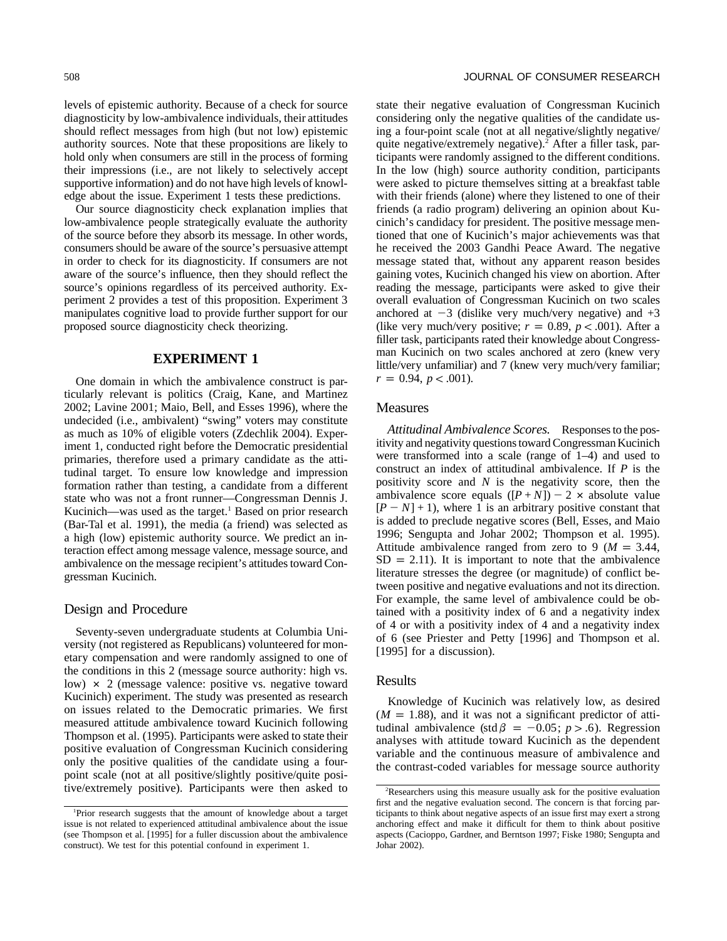levels of epistemic authority. Because of a check for source diagnosticity by low-ambivalence individuals, their attitudes should reflect messages from high (but not low) epistemic authority sources. Note that these propositions are likely to hold only when consumers are still in the process of forming their impressions (i.e., are not likely to selectively accept supportive information) and do not have high levels of knowledge about the issue. Experiment 1 tests these predictions.

Our source diagnosticity check explanation implies that low-ambivalence people strategically evaluate the authority of the source before they absorb its message. In other words, consumers should be aware of the source's persuasive attempt in order to check for its diagnosticity. If consumers are not aware of the source's influence, then they should reflect the source's opinions regardless of its perceived authority. Experiment 2 provides a test of this proposition. Experiment 3 manipulates cognitive load to provide further support for our proposed source diagnosticity check theorizing.

## **EXPERIMENT 1**

One domain in which the ambivalence construct is particularly relevant is politics (Craig, Kane, and Martinez 2002; Lavine 2001; Maio, Bell, and Esses 1996), where the undecided (i.e., ambivalent) "swing" voters may constitute as much as 10% of eligible voters (Zdechlik 2004). Experiment 1, conducted right before the Democratic presidential primaries, therefore used a primary candidate as the attitudinal target. To ensure low knowledge and impression formation rather than testing, a candidate from a different state who was not a front runner—Congressman Dennis J. Kucinich—was used as the target. $<sup>1</sup>$  Based on prior research</sup> (Bar-Tal et al. 1991), the media (a friend) was selected as a high (low) epistemic authority source. We predict an interaction effect among message valence, message source, and ambivalence on the message recipient's attitudes toward Congressman Kucinich.

## Design and Procedure

Seventy-seven undergraduate students at Columbia University (not registered as Republicans) volunteered for monetary compensation and were randomly assigned to one of the conditions in this 2 (message source authority: high vs. low)  $\times$  2 (message valence: positive vs. negative toward Kucinich) experiment. The study was presented as research on issues related to the Democratic primaries. We first measured attitude ambivalence toward Kucinich following Thompson et al. (1995). Participants were asked to state their positive evaluation of Congressman Kucinich considering only the positive qualities of the candidate using a fourpoint scale (not at all positive/slightly positive/quite positive/extremely positive). Participants were then asked to

state their negative evaluation of Congressman Kucinich considering only the negative qualities of the candidate using a four-point scale (not at all negative/slightly negative/ quite negative/extremely negative).<sup>2</sup> After a filler task, participants were randomly assigned to the different conditions. In the low (high) source authority condition, participants were asked to picture themselves sitting at a breakfast table with their friends (alone) where they listened to one of their friends (a radio program) delivering an opinion about Kucinich's candidacy for president. The positive message mentioned that one of Kucinich's major achievements was that he received the 2003 Gandhi Peace Award. The negative message stated that, without any apparent reason besides gaining votes, Kucinich changed his view on abortion. After reading the message, participants were asked to give their overall evaluation of Congressman Kucinich on two scales anchored at  $-3$  (dislike very much/very negative) and  $+3$ (like very much/very positive;  $r = 0.89$ ,  $p < .001$ ). After a filler task, participants rated their knowledge about Congressman Kucinich on two scales anchored at zero (knew very little/very unfamiliar) and 7 (knew very much/very familiar;  $r = 0.94, p < .001$ .

## Measures

*Attitudinal Ambivalence Scores.* Responses to the positivity and negativity questions toward Congressman Kucinich were transformed into a scale (range of 1–4) and used to construct an index of attitudinal ambivalence. If *P* is the positivity score and *N* is the negativity score, then the ambivalence score equals  $([P+N]) - 2 \times$  absolute value  $[P - N] + 1$ , where 1 is an arbitrary positive constant that is added to preclude negative scores (Bell, Esses, and Maio 1996; Sengupta and Johar 2002; Thompson et al. 1995). Attitude ambivalence ranged from zero to 9 ( $M = 3.44$ ,  $SD = 2.11$ ). It is important to note that the ambivalence literature stresses the degree (or magnitude) of conflict between positive and negative evaluations and not its direction. For example, the same level of ambivalence could be obtained with a positivity index of 6 and a negativity index of 4 or with a positivity index of 4 and a negativity index of 6 (see Priester and Petty [1996] and Thompson et al. [1995] for a discussion).

### Results

Knowledge of Kucinich was relatively low, as desired  $(M = 1.88)$ , and it was not a significant predictor of attitudinal ambivalence (std  $\beta = -0.05$ ;  $p > .6$ ). Regression analyses with attitude toward Kucinich as the dependent variable and the continuous measure of ambivalence and the contrast-coded variables for message source authority

<sup>1</sup> Prior research suggests that the amount of knowledge about a target issue is not related to experienced attitudinal ambivalence about the issue (see Thompson et al. [1995] for a fuller discussion about the ambivalence construct). We test for this potential confound in experiment 1.

<sup>2</sup> Researchers using this measure usually ask for the positive evaluation first and the negative evaluation second. The concern is that forcing participants to think about negative aspects of an issue first may exert a strong anchoring effect and make it difficult for them to think about positive aspects (Cacioppo, Gardner, and Berntson 1997; Fiske 1980; Sengupta and Johar 2002).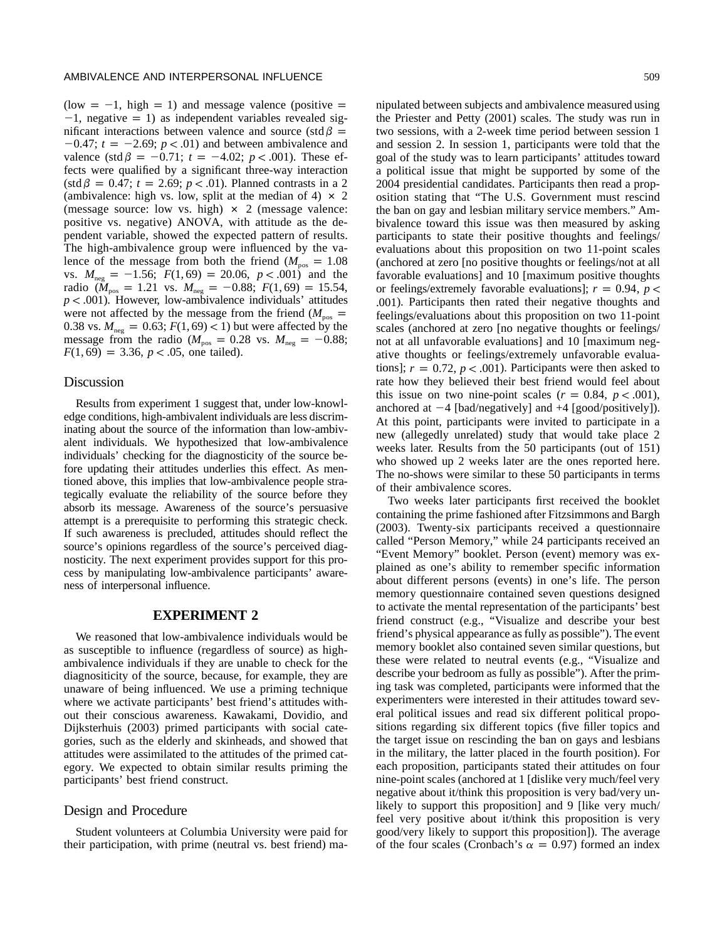( $\text{low} = -1$ , high = 1) and message valence (positive =  $-1$ , negative = 1) as independent variables revealed significant interactions between valence and source (std $\beta$  =  $-0.47$ ;  $t = -2.69$ ;  $p < .01$ ) and between ambivalence and valence (std  $\beta = -0.71$ ;  $t = -4.02$ ;  $p < .001$ ). These effects were qualified by a significant three-way interaction  $(\text{std } \beta = 0.47; t = 2.69; p < .01)$ . Planned contrasts in a 2 (ambivalence: high vs. low, split at the median of 4)  $\times$  2 (message source: low vs. high)  $\times$  2 (message valence: positive vs. negative) ANOVA, with attitude as the dependent variable, showed the expected pattern of results. The high-ambivalence group were influenced by the valence of the message from both the friend ( $M_{pos} = 1.08$ vs.  $M_{\text{neg}} = -1.56$ ;  $F(1, 69) = 20.06$ ,  $p < .001$ ) and the radio ( $M_{\text{pos}} = 1.21$  vs.  $M_{\text{neg}} = -0.88$ ;  $F(1, 69) = 15.54$ ,  $p < .001$ ). However, low-ambivalence individuals' attitudes were not affected by the message from the friend ( $M_{\text{pos}} =$ 0.38 vs.  $M_{\text{neg}} = 0.63$ ;  $F(1, 69) < 1$ ) but were affected by the message from the radio ( $M_{\text{pos}} = 0.28$  vs.  $M_{\text{neg}} = -0.88$ ;  $F(1, 69) = 3.36, p < .05$ , one tailed).

#### Discussion

Results from experiment 1 suggest that, under low-knowledge conditions, high-ambivalent individuals are less discriminating about the source of the information than low-ambivalent individuals. We hypothesized that low-ambivalence individuals' checking for the diagnosticity of the source before updating their attitudes underlies this effect. As mentioned above, this implies that low-ambivalence people strategically evaluate the reliability of the source before they absorb its message. Awareness of the source's persuasive attempt is a prerequisite to performing this strategic check. If such awareness is precluded, attitudes should reflect the source's opinions regardless of the source's perceived diagnosticity. The next experiment provides support for this process by manipulating low-ambivalence participants' awareness of interpersonal influence.

## **EXPERIMENT 2**

We reasoned that low-ambivalence individuals would be as susceptible to influence (regardless of source) as highambivalence individuals if they are unable to check for the diagnositicity of the source, because, for example, they are unaware of being influenced. We use a priming technique where we activate participants' best friend's attitudes without their conscious awareness. Kawakami, Dovidio, and Dijksterhuis (2003) primed participants with social categories, such as the elderly and skinheads, and showed that attitudes were assimilated to the attitudes of the primed category. We expected to obtain similar results priming the participants' best friend construct.

## Design and Procedure

Student volunteers at Columbia University were paid for their participation, with prime (neutral vs. best friend) manipulated between subjects and ambivalence measured using the Priester and Petty (2001) scales. The study was run in two sessions, with a 2-week time period between session 1 and session 2. In session 1, participants were told that the goal of the study was to learn participants' attitudes toward a political issue that might be supported by some of the 2004 presidential candidates. Participants then read a proposition stating that "The U.S. Government must rescind the ban on gay and lesbian military service members." Ambivalence toward this issue was then measured by asking participants to state their positive thoughts and feelings/ evaluations about this proposition on two 11-point scales (anchored at zero [no positive thoughts or feelings/not at all favorable evaluations] and 10 [maximum positive thoughts or feelings/extremely favorable evaluations];  $r = 0.94$ ,  $p <$ .001). Participants then rated their negative thoughts and feelings/evaluations about this proposition on two 11-point scales (anchored at zero [no negative thoughts or feelings/ not at all unfavorable evaluations] and 10 [maximum negative thoughts or feelings/extremely unfavorable evaluations];  $r = 0.72$ ,  $p < .001$ ). Participants were then asked to rate how they believed their best friend would feel about this issue on two nine-point scales  $(r = 0.84, p < .001)$ , anchored at  $-4$  [bad/negatively] and  $+4$  [good/positively]). At this point, participants were invited to participate in a new (allegedly unrelated) study that would take place 2 weeks later. Results from the 50 participants (out of 151) who showed up 2 weeks later are the ones reported here. The no-shows were similar to these 50 participants in terms of their ambivalence scores.

Two weeks later participants first received the booklet containing the prime fashioned after Fitzsimmons and Bargh (2003). Twenty-six participants received a questionnaire called "Person Memory," while 24 participants received an "Event Memory" booklet. Person (event) memory was explained as one's ability to remember specific information about different persons (events) in one's life. The person memory questionnaire contained seven questions designed to activate the mental representation of the participants' best friend construct (e.g., "Visualize and describe your best friend's physical appearance as fully as possible"). The event memory booklet also contained seven similar questions, but these were related to neutral events (e.g., "Visualize and describe your bedroom as fully as possible"). After the priming task was completed, participants were informed that the experimenters were interested in their attitudes toward several political issues and read six different political propositions regarding six different topics (five filler topics and the target issue on rescinding the ban on gays and lesbians in the military, the latter placed in the fourth position). For each proposition, participants stated their attitudes on four nine-point scales (anchored at 1 [dislike very much/feel very negative about it/think this proposition is very bad/very unlikely to support this proposition] and 9 [like very much/ feel very positive about it/think this proposition is very good/very likely to support this proposition]). The average of the four scales (Cronbach's  $\alpha = 0.97$ ) formed an index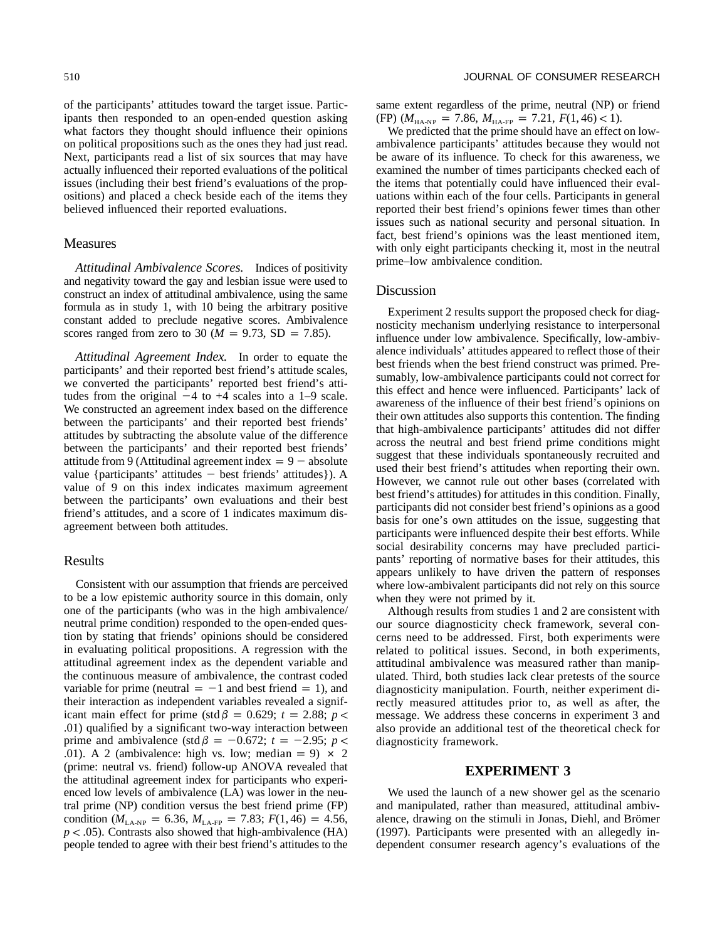of the participants' attitudes toward the target issue. Participants then responded to an open-ended question asking what factors they thought should influence their opinions on political propositions such as the ones they had just read. Next, participants read a list of six sources that may have actually influenced their reported evaluations of the political issues (including their best friend's evaluations of the propositions) and placed a check beside each of the items they believed influenced their reported evaluations.

#### **Measures**

*Attitudinal Ambivalence Scores.* Indices of positivity and negativity toward the gay and lesbian issue were used to construct an index of attitudinal ambivalence, using the same formula as in study 1, with 10 being the arbitrary positive constant added to preclude negative scores. Ambivalence scores ranged from zero to 30 ( $M = 9.73$ , SD = 7.85).

*Attitudinal Agreement Index.* In order to equate the participants' and their reported best friend's attitude scales, we converted the participants' reported best friend's attitudes from the original  $-4$  to  $+4$  scales into a 1–9 scale. We constructed an agreement index based on the difference between the participants' and their reported best friends' attitudes by subtracting the absolute value of the difference between the participants' and their reported best friends' attitude from 9 (Attitudinal agreement index  $= 9 -$  absolute value {participants' attitudes  $-$  best friends' attitudes}). A value of 9 on this index indicates maximum agreement between the participants' own evaluations and their best friend's attitudes, and a score of 1 indicates maximum disagreement between both attitudes.

## Results

Consistent with our assumption that friends are perceived to be a low epistemic authority source in this domain, only one of the participants (who was in the high ambivalence/ neutral prime condition) responded to the open-ended question by stating that friends' opinions should be considered in evaluating political propositions. A regression with the attitudinal agreement index as the dependent variable and the continuous measure of ambivalence, the contrast coded variable for prime (neutral  $= -1$  and best friend  $= 1$ ), and their interaction as independent variables revealed a significant main effect for prime (std  $\beta = 0.629$ ;  $t = 2.88$ ;  $p <$ .01) qualified by a significant two-way interaction between prime and ambivalence (std  $\beta = -0.672$ ;  $t = -2.95$ ;  $p <$ .01). A 2 (ambivalence: high vs. low; median  $= 9$ )  $\times$  2 (prime: neutral vs. friend) follow-up ANOVA revealed that the attitudinal agreement index for participants who experienced low levels of ambivalence (LA) was lower in the neutral prime (NP) condition versus the best friend prime (FP) condition ( $M_{\text{LAP}} = 6.36$ ,  $M_{\text{LAPP}} = 7.83$ ;  $F(1, 46) = 4.56$ ,  $p < .05$ ). Contrasts also showed that high-ambivalence (HA) people tended to agree with their best friend's attitudes to the

same extent regardless of the prime, neutral (NP) or friend  $(FP)$  ( $M_{H A-NP}$  = 7.86,  $M_{H A-FP}$  = 7.21,  $F(1, 46)$  < 1).

We predicted that the prime should have an effect on lowambivalence participants' attitudes because they would not be aware of its influence. To check for this awareness, we examined the number of times participants checked each of the items that potentially could have influenced their evaluations within each of the four cells. Participants in general reported their best friend's opinions fewer times than other issues such as national security and personal situation. In fact, best friend's opinions was the least mentioned item, with only eight participants checking it, most in the neutral prime–low ambivalence condition.

#### Discussion

Experiment 2 results support the proposed check for diagnosticity mechanism underlying resistance to interpersonal influence under low ambivalence. Specifically, low-ambivalence individuals' attitudes appeared to reflect those of their best friends when the best friend construct was primed. Presumably, low-ambivalence participants could not correct for this effect and hence were influenced. Participants' lack of awareness of the influence of their best friend's opinions on their own attitudes also supports this contention. The finding that high-ambivalence participants' attitudes did not differ across the neutral and best friend prime conditions might suggest that these individuals spontaneously recruited and used their best friend's attitudes when reporting their own. However, we cannot rule out other bases (correlated with best friend's attitudes) for attitudes in this condition. Finally, participants did not consider best friend's opinions as a good basis for one's own attitudes on the issue, suggesting that participants were influenced despite their best efforts. While social desirability concerns may have precluded participants' reporting of normative bases for their attitudes, this appears unlikely to have driven the pattern of responses where low-ambivalent participants did not rely on this source when they were not primed by it.

Although results from studies 1 and 2 are consistent with our source diagnosticity check framework, several concerns need to be addressed. First, both experiments were related to political issues. Second, in both experiments, attitudinal ambivalence was measured rather than manipulated. Third, both studies lack clear pretests of the source diagnosticity manipulation. Fourth, neither experiment directly measured attitudes prior to, as well as after, the message. We address these concerns in experiment 3 and also provide an additional test of the theoretical check for diagnosticity framework.

#### **EXPERIMENT 3**

We used the launch of a new shower gel as the scenario and manipulated, rather than measured, attitudinal ambivalence, drawing on the stimuli in Jonas, Diehl, and Brömer (1997). Participants were presented with an allegedly independent consumer research agency's evaluations of the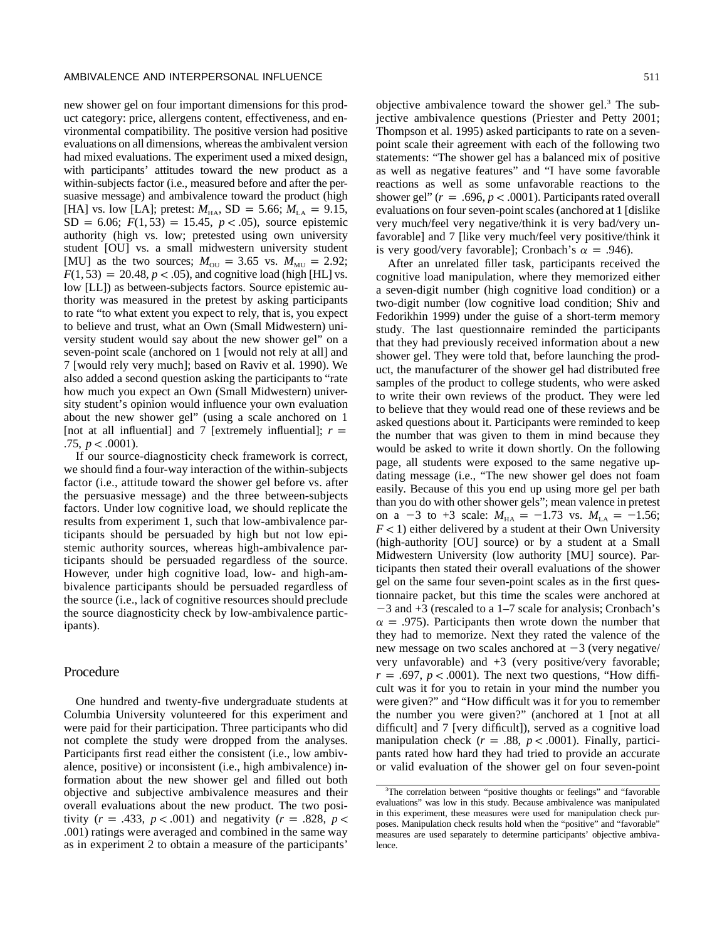new shower gel on four important dimensions for this product category: price, allergens content, effectiveness, and environmental compatibility. The positive version had positive evaluations on all dimensions, whereas the ambivalent version had mixed evaluations. The experiment used a mixed design, with participants' attitudes toward the new product as a within-subjects factor (i.e., measured before and after the persuasive message) and ambivalence toward the product (high [HA] vs. low [LA]; pretest:  $M_{HA}$ , SD = 5.66;  $M_{LA}$  = 9.15,  $SD = 6.06$ ;  $F(1, 53) = 15.45$ ,  $p < .05$ ), source epistemic authority (high vs. low; pretested using own university student [OU] vs. a small midwestern university student [MU] as the two sources;  $M_{\text{OU}} = 3.65$  vs.  $M_{\text{MU}} = 2.92$ ;  $F(1, 53) = 20.48, p < .05$ ), and cognitive load (high [HL] vs. low [LL]) as between-subjects factors. Source epistemic authority was measured in the pretest by asking participants to rate "to what extent you expect to rely, that is, you expect to believe and trust, what an Own (Small Midwestern) university student would say about the new shower gel" on a seven-point scale (anchored on 1 [would not rely at all] and 7 [would rely very much]; based on Raviv et al. 1990). We also added a second question asking the participants to "rate how much you expect an Own (Small Midwestern) university student's opinion would influence your own evaluation about the new shower gel" (using a scale anchored on 1 [not at all influential] and 7 [extremely influential];  $r =$  $.75, p < .0001$ ).

If our source-diagnosticity check framework is correct, we should find a four-way interaction of the within-subjects factor (i.e., attitude toward the shower gel before vs. after the persuasive message) and the three between-subjects factors. Under low cognitive load, we should replicate the results from experiment 1, such that low-ambivalence participants should be persuaded by high but not low epistemic authority sources, whereas high-ambivalence participants should be persuaded regardless of the source. However, under high cognitive load, low- and high-ambivalence participants should be persuaded regardless of the source (i.e., lack of cognitive resources should preclude the source diagnosticity check by low-ambivalence participants).

## Procedure

One hundred and twenty-five undergraduate students at Columbia University volunteered for this experiment and were paid for their participation. Three participants who did not complete the study were dropped from the analyses. Participants first read either the consistent (i.e., low ambivalence, positive) or inconsistent (i.e., high ambivalence) information about the new shower gel and filled out both objective and subjective ambivalence measures and their overall evaluations about the new product. The two positivity ( $r = .433$ ,  $p < .001$ ) and negativity ( $r = .828$ ,  $p < .001$ ) .001) ratings were averaged and combined in the same way as in experiment 2 to obtain a measure of the participants'

objective ambivalence toward the shower gel.3 The subjective ambivalence questions (Priester and Petty 2001; Thompson et al. 1995) asked participants to rate on a sevenpoint scale their agreement with each of the following two statements: "The shower gel has a balanced mix of positive as well as negative features" and "I have some favorable reactions as well as some unfavorable reactions to the shower gel"  $(r = .696, p < .0001)$ . Participants rated overall evaluations on four seven-point scales (anchored at 1 [dislike very much/feel very negative/think it is very bad/very unfavorable] and 7 [like very much/feel very positive/think it is very good/very favorable]; Cronbach's  $\alpha = .946$ .

After an unrelated filler task, participants received the cognitive load manipulation, where they memorized either a seven-digit number (high cognitive load condition) or a two-digit number (low cognitive load condition; Shiv and Fedorikhin 1999) under the guise of a short-term memory study. The last questionnaire reminded the participants that they had previously received information about a new shower gel. They were told that, before launching the product, the manufacturer of the shower gel had distributed free samples of the product to college students, who were asked to write their own reviews of the product. They were led to believe that they would read one of these reviews and be asked questions about it. Participants were reminded to keep the number that was given to them in mind because they would be asked to write it down shortly. On the following page, all students were exposed to the same negative updating message (i.e., "The new shower gel does not foam easily. Because of this you end up using more gel per bath than you do with other shower gels"; mean valence in pretest on a  $-3$  to  $+3$  scale:  $M_{HA} = -1.73$  *vs.*  $M_{LA} = -1.56$ ;  $F < 1$ ) either delivered by a student at their Own University (high-authority [OU] source) or by a student at a Small Midwestern University (low authority [MU] source). Participants then stated their overall evaluations of the shower gel on the same four seven-point scales as in the first questionnaire packet, but this time the scales were anchored at  $-3$  and  $+3$  (rescaled to a 1–7 scale for analysis; Cronbach's  $\alpha$  = .975). Participants then wrote down the number that they had to memorize. Next they rated the valence of the new message on two scales anchored at  $-3$  (very negative) very unfavorable) and  $+3$  (very positive/very favorable;  $r = .697$ ,  $p < .0001$ ). The next two questions, "How difficult was it for you to retain in your mind the number you were given?" and "How difficult was it for you to remember the number you were given?" (anchored at 1 [not at all difficult] and 7 [very difficult]), served as a cognitive load manipulation check ( $r = .88$ ,  $p < .0001$ ). Finally, participants rated how hard they had tried to provide an accurate or valid evaluation of the shower gel on four seven-point

<sup>&</sup>lt;sup>3</sup>The correlation between "positive thoughts or feelings" and "favorable evaluations" was low in this study. Because ambivalence was manipulated in this experiment, these measures were used for manipulation check purposes. Manipulation check results hold when the "positive" and "favorable" measures are used separately to determine participants' objective ambivalence.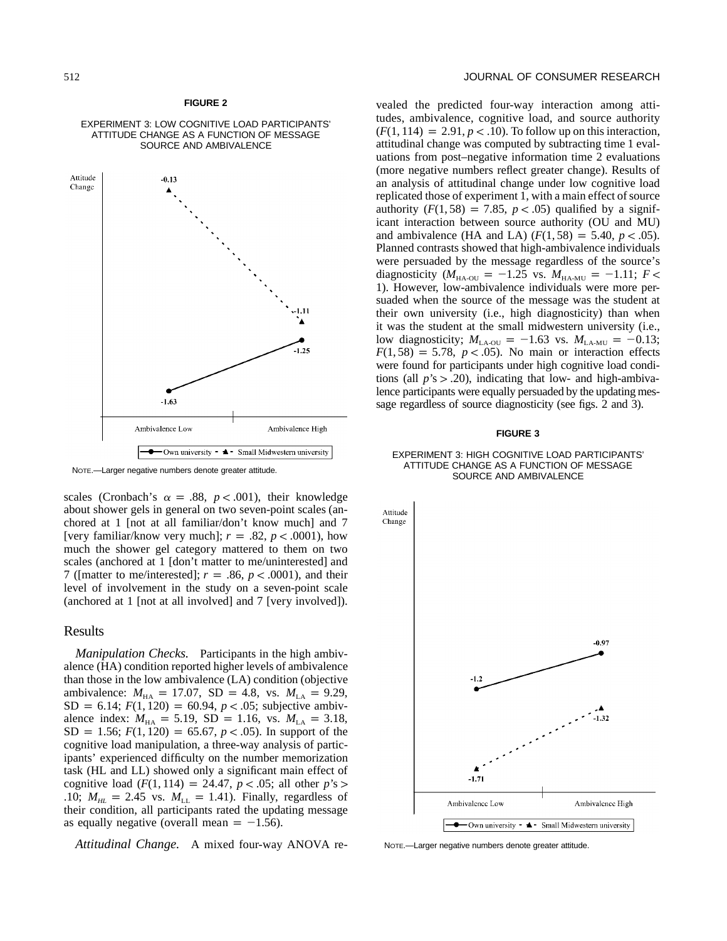#### **FIGURE 2**





NOTE.—Larger negative numbers denote greater attitude.

scales (Cronbach's  $\alpha = .88$ ,  $p < .001$ ), their knowledge about shower gels in general on two seven-point scales (anchored at 1 [not at all familiar/don't know much] and 7 [very familiar/know very much];  $r = .82$ ,  $p < .0001$ ), how much the shower gel category mattered to them on two scales (anchored at 1 [don't matter to me/uninterested] and 7 ([matter to me/interested];  $r = .86$ ,  $p < .0001$ ), and their level of involvement in the study on a seven-point scale (anchored at 1 [not at all involved] and 7 [very involved]).

#### **Results**

*Manipulation Checks.* Participants in the high ambivalence (HA) condition reported higher levels of ambivalence than those in the low ambivalence (LA) condition (objective ambivalence:  $M_{HA} = 17.07$ , SD = 4.8, vs.  $M_{LA} = 9.29$ ,  $SD = 6.14$ ;  $F(1, 120) = 60.94$ ,  $p < .05$ ; subjective ambivalence index:  $M_{HA} = 5.19$ , SD = 1.16, vs.  $M_{LA} = 3.18$ ,  $SD = 1.56$ ;  $F(1, 120) = 65.67$ ,  $p < .05$ ). In support of the cognitive load manipulation, a three-way analysis of participants' experienced difficulty on the number memorization task (HL and LL) showed only a significant main effect of cognitive load  $(F(1, 114) = 24.47, p < .05$ ; all other  $p's$ .10;  $M_{HL} = 2.45$  vs.  $M_{LL} = 1.41$ . Finally, regardless of their condition, all participants rated the updating message as equally negative (overall mean  $= -1.56$ ).

*Attitudinal Change.* A mixed four-way ANOVA re-

vealed the predicted four-way interaction among attitudes, ambivalence, cognitive load, and source authority  $(F(1, 114) = 2.91, p < .10)$ . To follow up on this interaction, attitudinal change was computed by subtracting time 1 evaluations from post–negative information time 2 evaluations (more negative numbers reflect greater change). Results of an analysis of attitudinal change under low cognitive load replicated those of experiment 1, with a main effect of source authority  $(F(1, 58) = 7.85, p < .05)$  qualified by a significant interaction between source authority (OU and MU) and ambivalence (HA and LA)  $(F(1, 58) = 5.40, p < .05)$ . Planned contrasts showed that high-ambivalence individuals were persuaded by the message regardless of the source's diagnosticity ( $M_{\text{HA-OU}} = -1.25$  vs.  $M_{\text{HA-MU}} = -1.11$ ;  $F <$ 1). However, low-ambivalence individuals were more persuaded when the source of the message was the student at their own university (i.e., high diagnosticity) than when it was the student at the small midwestern university (i.e., low diagnosticity;  $M_{\text{LA-OU}} = -1.63 \text{ vs. } M_{\text{LA-MU}} = -0.13$ ;  $F(1, 58) = 5.78$ ,  $p < .05$ ). No main or interaction effects were found for participants under high cognitive load conditions (all  $p$ 's  $> .20$ ), indicating that low- and high-ambivalence participants were equally persuaded by the updating message regardless of source diagnosticity (see figs. 2 and 3).

#### **FIGURE 3**

#### EXPERIMENT 3: HIGH COGNITIVE LOAD PARTICIPANTS' ATTITUDE CHANGE AS A FUNCTION OF MESSAGE SOURCE AND AMBIVALENCE



NOTE.—Larger negative numbers denote greater attitude.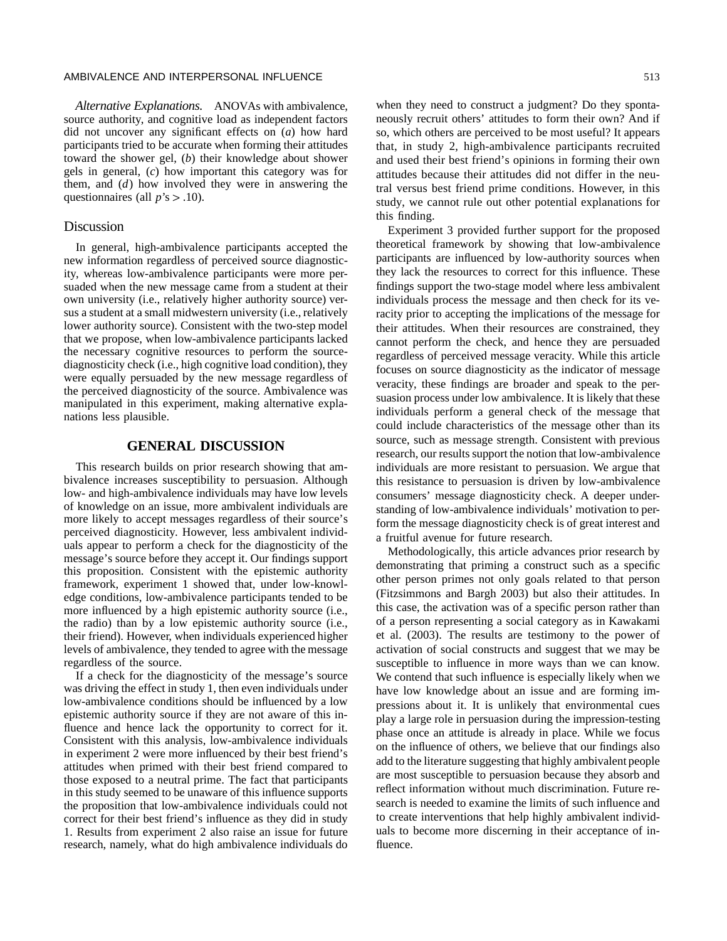#### AMBIVALENCE AND INTERPERSONAL INFLUENCE **FOUR SEXUAL EXAMPLE 12** S13

*Alternative Explanations.* ANOVAs with ambivalence, source authority, and cognitive load as independent factors did not uncover any significant effects on (*a*) how hard participants tried to be accurate when forming their attitudes toward the shower gel, (*b*) their knowledge about shower gels in general, (*c*) how important this category was for them, and (*d*) how involved they were in answering the questionnaires (all  $p's > .10$ ).

## Discussion

In general, high-ambivalence participants accepted the new information regardless of perceived source diagnosticity, whereas low-ambivalence participants were more persuaded when the new message came from a student at their own university (i.e., relatively higher authority source) versus a student at a small midwestern university (i.e., relatively lower authority source). Consistent with the two-step model that we propose, when low-ambivalence participants lacked the necessary cognitive resources to perform the sourcediagnosticity check (i.e., high cognitive load condition), they were equally persuaded by the new message regardless of the perceived diagnosticity of the source. Ambivalence was manipulated in this experiment, making alternative explanations less plausible.

## **GENERAL DISCUSSION**

This research builds on prior research showing that ambivalence increases susceptibility to persuasion. Although low- and high-ambivalence individuals may have low levels of knowledge on an issue, more ambivalent individuals are more likely to accept messages regardless of their source's perceived diagnosticity. However, less ambivalent individuals appear to perform a check for the diagnosticity of the message's source before they accept it. Our findings support this proposition. Consistent with the epistemic authority framework, experiment 1 showed that, under low-knowledge conditions, low-ambivalence participants tended to be more influenced by a high epistemic authority source (i.e., the radio) than by a low epistemic authority source (i.e., their friend). However, when individuals experienced higher levels of ambivalence, they tended to agree with the message regardless of the source.

If a check for the diagnosticity of the message's source was driving the effect in study 1, then even individuals under low-ambivalence conditions should be influenced by a low epistemic authority source if they are not aware of this influence and hence lack the opportunity to correct for it. Consistent with this analysis, low-ambivalence individuals in experiment 2 were more influenced by their best friend's attitudes when primed with their best friend compared to those exposed to a neutral prime. The fact that participants in this study seemed to be unaware of this influence supports the proposition that low-ambivalence individuals could not correct for their best friend's influence as they did in study 1. Results from experiment 2 also raise an issue for future research, namely, what do high ambivalence individuals do when they need to construct a judgment? Do they spontaneously recruit others' attitudes to form their own? And if so, which others are perceived to be most useful? It appears that, in study 2, high-ambivalence participants recruited and used their best friend's opinions in forming their own attitudes because their attitudes did not differ in the neutral versus best friend prime conditions. However, in this study, we cannot rule out other potential explanations for this finding.

Experiment 3 provided further support for the proposed theoretical framework by showing that low-ambivalence participants are influenced by low-authority sources when they lack the resources to correct for this influence. These findings support the two-stage model where less ambivalent individuals process the message and then check for its veracity prior to accepting the implications of the message for their attitudes. When their resources are constrained, they cannot perform the check, and hence they are persuaded regardless of perceived message veracity. While this article focuses on source diagnosticity as the indicator of message veracity, these findings are broader and speak to the persuasion process under low ambivalence. It is likely that these individuals perform a general check of the message that could include characteristics of the message other than its source, such as message strength. Consistent with previous research, our results support the notion that low-ambivalence individuals are more resistant to persuasion. We argue that this resistance to persuasion is driven by low-ambivalence consumers' message diagnosticity check. A deeper understanding of low-ambivalence individuals' motivation to perform the message diagnosticity check is of great interest and a fruitful avenue for future research.

Methodologically, this article advances prior research by demonstrating that priming a construct such as a specific other person primes not only goals related to that person (Fitzsimmons and Bargh 2003) but also their attitudes. In this case, the activation was of a specific person rather than of a person representing a social category as in Kawakami et al. (2003). The results are testimony to the power of activation of social constructs and suggest that we may be susceptible to influence in more ways than we can know. We contend that such influence is especially likely when we have low knowledge about an issue and are forming impressions about it. It is unlikely that environmental cues play a large role in persuasion during the impression-testing phase once an attitude is already in place. While we focus on the influence of others, we believe that our findings also add to the literature suggesting that highly ambivalent people are most susceptible to persuasion because they absorb and reflect information without much discrimination. Future research is needed to examine the limits of such influence and to create interventions that help highly ambivalent individuals to become more discerning in their acceptance of influence.